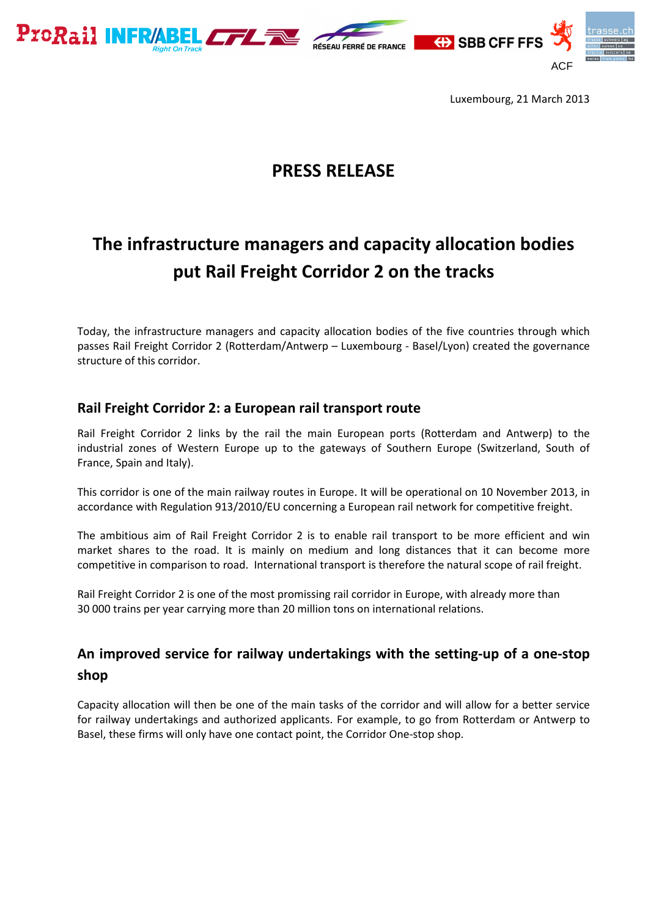



Luxembourg, 21 March 2013

## **PRESS RELEASE**

# **The infrastructure managers and capacity allocation bodies put Rail Freight Corridor 2 on the tracks**

Today, the infrastructure managers and capacity allocation bodies of the five countries through which passes Rail Freight Corridor 2 (Rotterdam/Antwerp – Luxembourg - Basel/Lyon) created the governance structure of this corridor.

#### **Rail Freight Corridor 2: a European rail transport route**

Rail Freight Corridor 2 links by the rail the main European ports (Rotterdam and Antwerp) to the industrial zones of Western Europe up to the gateways of Southern Europe (Switzerland, South of France, Spain and Italy).

This corridor is one of the main railway routes in Europe. It will be operational on 10 November 2013, in accordance with Regulation 913/2010/EU concerning a European rail network for competitive freight.

The ambitious aim of Rail Freight Corridor 2 is to enable rail transport to be more efficient and win market shares to the road. It is mainly on medium and long distances that it can become more competitive in comparison to road. International transport is therefore the natural scope of rail freight.

Rail Freight Corridor 2 is one of the most promissing rail corridor in Europe, with already more than 30 000 trains per year carrying more than 20 million tons on international relations.

#### **An improved service for railway undertakings with the setting-up of a one-stop shop**

Capacity allocation will then be one of the main tasks of the corridor and will allow for a better service for railway undertakings and authorized applicants. For example, to go from Rotterdam or Antwerp to Basel, these firms will only have one contact point, the Corridor One-stop shop.